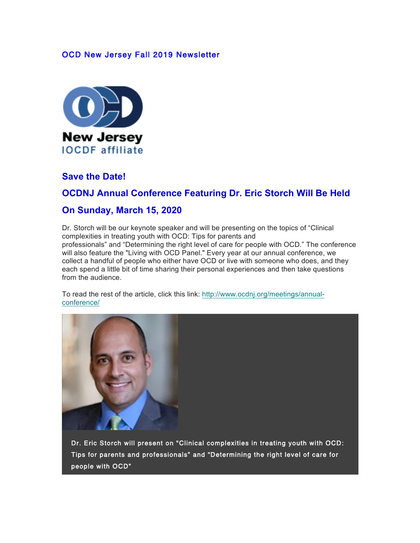#### OCD New Jersey Fall 2019 Newsletter



### **Save the Date!**

### **OCDNJ Annual Conference Featuring Dr. Eric Storch Will Be Held**

#### **On Sunday, March 15, 2020**

Dr. Storch will be our keynote speaker and will be presenting on the topics of "Clinical complexities in treating youth with OCD: Tips for parents and professionals" and "Determining the right level of care for people with OCD." The conference will also feature the "Living with OCD Panel." Every year at our annual conference, we collect a handful of people who either have OCD or live with someone who does, and they each spend a little bit of time sharing their personal experiences and then take questions from the audience.

To read the rest of the article, click this link: http://www.ocdnj.org/meetings/annualconference/



Dr. Eric Storch will present on "Clinical complexities in treating youth with OCD: Tips for parents and professionals" and "Determining the right level of care for people with OCD"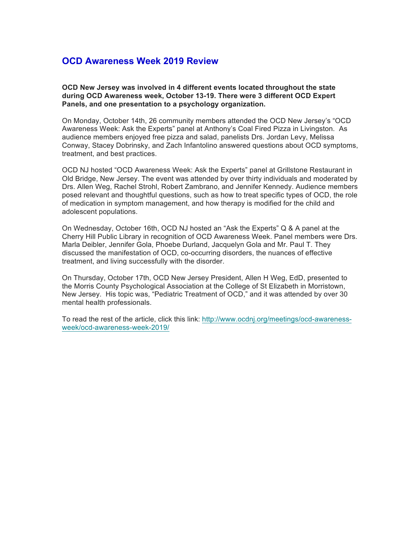#### **OCD Awareness Week 2019 Review**

**OCD New Jersey was involved in 4 different events located throughout the state during OCD Awareness week, October 13-19. There were 3 different OCD Expert Panels, and one presentation to a psychology organization.**

On Monday, October 14th, 26 community members attended the OCD New Jersey's "OCD Awareness Week: Ask the Experts" panel at Anthony's Coal Fired Pizza in Livingston. As audience members enjoyed free pizza and salad, panelists Drs. Jordan Levy, Melissa Conway, Stacey Dobrinsky, and Zach Infantolino answered questions about OCD symptoms, treatment, and best practices.

OCD NJ hosted "OCD Awareness Week: Ask the Experts" panel at Grillstone Restaurant in Old Bridge, New Jersey. The event was attended by over thirty individuals and moderated by Drs. Allen Weg, Rachel Strohl, Robert Zambrano, and Jennifer Kennedy. Audience members posed relevant and thoughtful questions, such as how to treat specific types of OCD, the role of medication in symptom management, and how therapy is modified for the child and adolescent populations.

On Wednesday, October 16th, OCD NJ hosted an "Ask the Experts" Q & A panel at the Cherry Hill Public Library in recognition of OCD Awareness Week. Panel members were Drs. Marla Deibler, Jennifer Gola, Phoebe Durland, Jacquelyn Gola and Mr. Paul T. They discussed the manifestation of OCD, co-occurring disorders, the nuances of effective treatment, and living successfully with the disorder.

On Thursday, October 17th, OCD New Jersey President, Allen H Weg, EdD, presented to the Morris County Psychological Association at the College of St Elizabeth in Morristown, New Jersey. His topic was, "Pediatric Treatment of OCD," and it was attended by over 30 mental health professionals.

To read the rest of the article, click this link: http://www.ocdnj.org/meetings/ocd-awarenessweek/ocd-awareness-week-2019/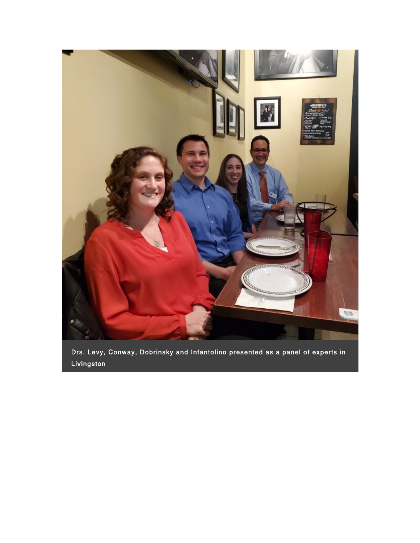

Drs. Levy, Conway, Dobrinsky and Infantolino presented as a panel of experts in Livingston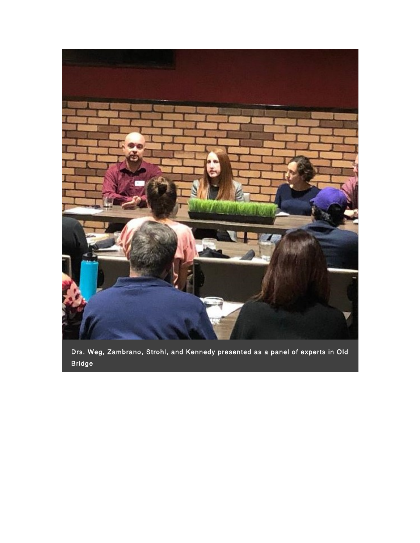

Drs. Weg, Zambrano, Strohl, and Kennedy presented as a panel of experts in Old Bridge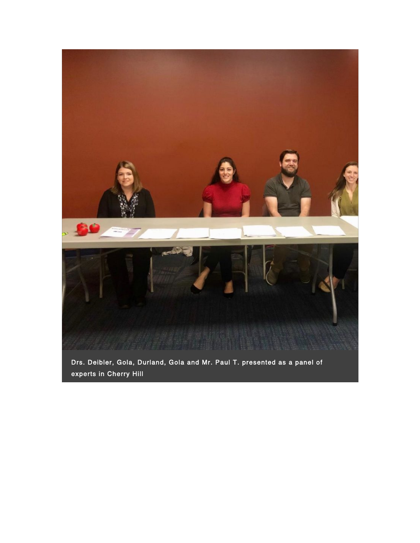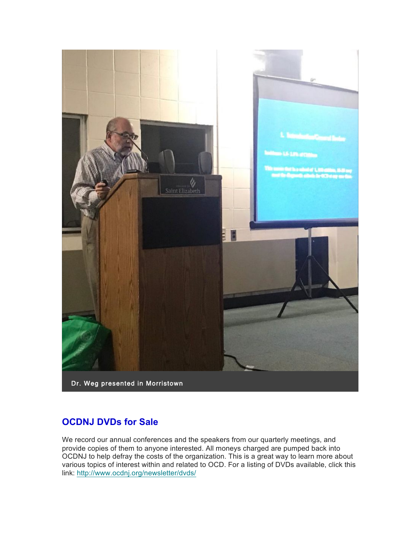

# **OCDNJ DVDs for Sale**

We record our annual conferences and the speakers from our quarterly meetings, and provide copies of them to anyone interested. All moneys charged are pumped back into OCDNJ to help defray the costs of the organization. This is a great way to learn more about various topics of interest within and related to OCD. For a listing of DVDs available, click this link: http://www.ocdnj.org/newsletter/dvds/